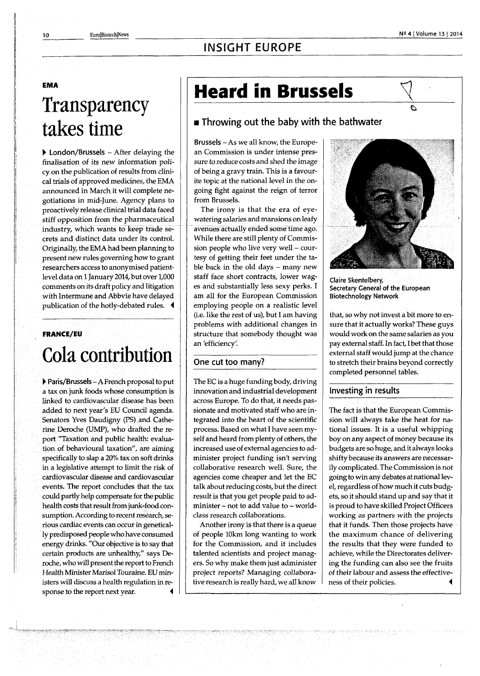# **INSIGHT EUROPE**

#### EMA

# **Transparency takes time**

**• London/Brussels** - After delaying the finalisation of its new information policy on the publication of results from clinical trials of approved medicines, the EMA announced in March.it will complete negotiations in mid-June. Agency plans to proactively release clinical trial data faced stiff opposition from the pharmaceutical industry, which wants to keep trade secrets and distinct data under its control. Originally, the EMA had been planning to present new rules governing how to grant researchers access to anonymised patientlevel data on 1 January 2014, but over 1,000 comments on its draft policy and litigation with Intermune and Abbvie have delayed publication of the hotly-debated rules. 4

### FRANCE/EU

# **Cola contribution**

**• Paris/Brussels** - A French proposal to put a tax on junk foods whose consumption is linked to cardiovascular disease has been added to next year's EU Council agenda. Senators Yves Daudigny (PS) and Catherine Deroche (UMP), who drafted the report "Taxation and public health: evaluation of behavioural taxation", are aiming specifically to slap a 20% tax on soft drinks in a legislative attempt to limit the risk of cardiovascular disease and cardiovascular events. The report concludes that the tax could partly help compensate for the public health costs that result from junk-food consumption. According to recent research, serious cardiac events can occur in genetically predisposed people who have consumed energy drinks. "Our objective is to say that certain products are unhealthy," says Deroche, who will present the report to French Health Minister Marisol Touraine. EU ministers will discuss a health regulation in response to the report next year.

# Heard in Brussels

## **Throwing out the baby with the bathwater**

**Brussels** - As we all know, the European Commission is under intense pressure to reduce costs and shed the image of being a gravy train. This is a favourite topic at the national level in the ongoing fight against the reign of terror from Brussels.

The irony is that the era of eyewatering salaries and mansions on leafy avenues actually ended some time ägo. While there are still plenty of Commission people who live very well - courtesy of getting their feet under the table back in the old days - many new staff face short contracts, lower wages and substantially less sexy perks. I am all for the European Commission employing people on a realistic level (i.e. like the rest of us), but I am having problems with additional changes in structure that somebody thought was an 'efficiency'.

### **One cut too many?**

The EC is a huge funding body, driving innovation and industrial development across Europe. To do that, it needs passionate and motivated staff who are integrated into the heart of the scientific process. Based on what I have seen myself and heard from plenty of others, the increased use of external agencies to administer project funding isn't serving collaborative research well. Sure, the agencies come cheaper and let the EC talk about reducing costs, but the direct result is that you get people paid to administer - not to add value to - worldclass research collaborations.

Another irony is that there is a queue of people 10km long wanting to work for the Commission, and it includes talented scientists and project managers. So why make them just administer project reports? Managing collaborative research is really hard, we all know



**Claire Skentelbery, Secretary General of the European Biotechnology Network** 

that, so why not invest a bit more to ensure that it actually works? These guys would work on the same salaries as you pay external staff. In fact, I bet that those external staff would jump at the chance to stretch their brains beyond correctly completed personnel tables.

#### **Investing in results**

The fact is that the European Commission will always take the heat for national issues. It is a useful whipping boy on any aspect of money because its budgets are so huge, and it always looks shifty because its answers are necessarily complicated. The Commission is not going to win any debates at national level, regardless of how much it cuts budgets, so it should stand up and say that it is proud to have skilled Project Officers working as partners with the projects that it funds. Then those projects have the maximum chance of delivering the results that they were funded to achieve, while the Directorates delivering the funding can also see the fruits of their labour and assess the effectiveness of their policies. *i*